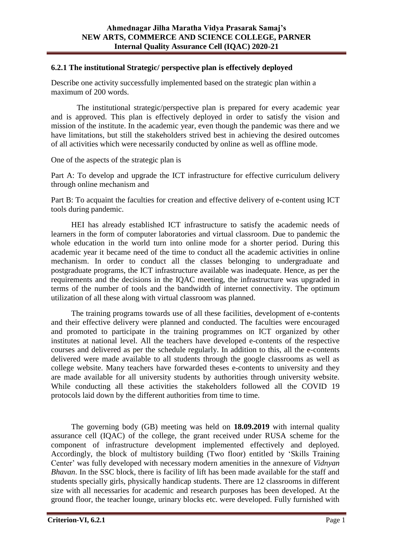## **6.2.1 The institutional Strategic/ perspective plan is effectively deployed**

Describe one activity successfully implemented based on the strategic plan within a maximum of 200 words.

 The institutional strategic/perspective plan is prepared for every academic year and is approved. This plan is effectively deployed in order to satisfy the vision and mission of the institute. In the academic year, even though the pandemic was there and we have limitations, but still the stakeholders strived best in achieving the desired outcomes of all activities which were necessarily conducted by online as well as offline mode.

One of the aspects of the strategic plan is

Part A: To develop and upgrade the ICT infrastructure for effective curriculum delivery through online mechanism and

Part B: To acquaint the faculties for creation and effective delivery of e-content using ICT tools during pandemic.

HEI has already established ICT infrastructure to satisfy the academic needs of learners in the form of computer laboratories and virtual classroom. Due to pandemic the whole education in the world turn into online mode for a shorter period. During this academic year it became need of the time to conduct all the academic activities in online mechanism. In order to conduct all the classes belonging to undergraduate and postgraduate programs, the ICT infrastructure available was inadequate. Hence, as per the requirements and the decisions in the IQAC meeting, the infrastructure was upgraded in terms of the number of tools and the bandwidth of internet connectivity. The optimum utilization of all these along with virtual classroom was planned.

The training programs towards use of all these facilities, development of e-contents and their effective delivery were planned and conducted. The faculties were encouraged and promoted to participate in the training programmes on ICT organized by other institutes at national level. All the teachers have developed e-contents of the respective courses and delivered as per the schedule regularly. In addition to this, all the e-contents delivered were made available to all students through the google classrooms as well as college website. Many teachers have forwarded theses e-contents to university and they are made available for all university students by authorities through university website. While conducting all these activities the stakeholders followed all the COVID 19 protocols laid down by the different authorities from time to time.

The governing body (GB) meeting was held on **18.09.2019** with internal quality assurance cell (IQAC) of the college, the grant received under RUSA scheme for the component of infrastructure development implemented effectively and deployed. Accordingly, the block of multistory building (Two floor) entitled by 'Skills Training Center' was fully developed with necessary modern amenities in the annexure of *Vidnyan Bhavan*. In the SSC block, there is facility of lift has been made available for the staff and students specially girls, physically handicap students. There are 12 classrooms in different size with all necessaries for academic and research purposes has been developed. At the ground floor, the teacher lounge, urinary blocks etc. were developed. Fully furnished with